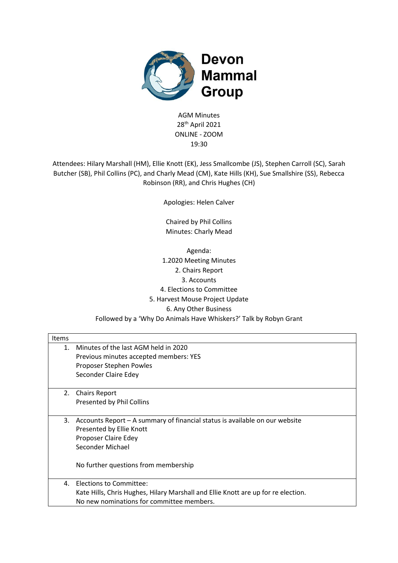

AGM Minutes 28 th April 2021 ONLINE - ZOOM 19:30

Attendees: Hilary Marshall (HM), Ellie Knott (EK), Jess Smallcombe (JS), Stephen Carroll (SC), Sarah Butcher (SB), Phil Collins (PC), and Charly Mead (CM), Kate Hills (KH), Sue Smallshire (SS), Rebecca Robinson (RR), and Chris Hughes (CH)

Apologies: Helen Calver

Chaired by Phil Collins Minutes: Charly Mead

Agenda: 1.2020 Meeting Minutes 2. Chairs Report 3. Accounts 4. Elections to Committee 5. Harvest Mouse Project Update 6. Any Other Business Followed by a 'Why Do Animals Have Whiskers?' Talk by Robyn Grant

| Items |                                                                                   |
|-------|-----------------------------------------------------------------------------------|
| 1.    | Minutes of the last AGM held in 2020                                              |
|       | Previous minutes accepted members: YES                                            |
|       | Proposer Stephen Powles                                                           |
|       | Seconder Claire Edey                                                              |
| 2.    | <b>Chairs Report</b>                                                              |
|       | Presented by Phil Collins                                                         |
|       |                                                                                   |
| 3.    | Accounts Report – A summary of financial status is available on our website       |
|       | Presented by Ellie Knott                                                          |
|       | Proposer Claire Edey                                                              |
|       | Seconder Michael                                                                  |
|       |                                                                                   |
|       | No further questions from membership                                              |
| 4.    | Elections to Committee:                                                           |
|       | Kate Hills, Chris Hughes, Hilary Marshall and Ellie Knott are up for re election. |
|       | No new nominations for committee members.                                         |
|       |                                                                                   |